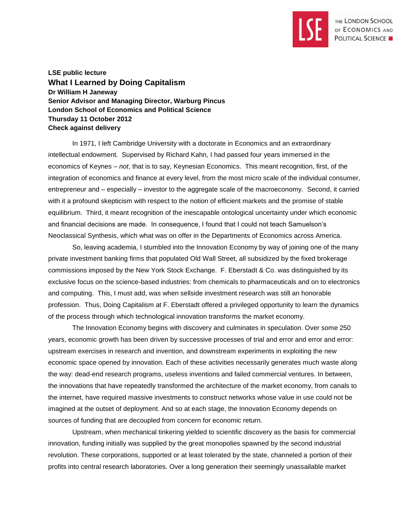

**LSE public lecture What I Learned by Doing Capitalism Dr William H Janeway Senior Advisor and Managing Director, Warburg Pincus London School of Economics and Political Science Thursday 11 October 2012 Check against delivery**

In 1971, I left Cambridge University with a doctorate in Economics and an extraordinary intellectual endowment. Supervised by Richard Kahn, I had passed four years immersed in the economics of Keynes – *not*, that is to say, Keynesian Economics. This meant recognition, first, of the integration of economics and finance at every level, from the most micro scale of the individual consumer, entrepreneur and – especially – investor to the aggregate scale of the macroeconomy. Second, it carried with it a profound skepticism with respect to the notion of efficient markets and the promise of stable equilibrium. Third, it meant recognition of the inescapable ontological uncertainty under which economic and financial decisions are made. In consequence, I found that I could not teach Samuelson's Neoclassical Synthesis, which what was on offer in the Departments of Economics across America.

So, leaving academia, I stumbled into the Innovation Economy by way of joining one of the many private investment banking firms that populated Old Wall Street, all subsidized by the fixed brokerage commissions imposed by the New York Stock Exchange. F. Eberstadt & Co. was distinguished by its exclusive focus on the science-based industries: from chemicals to pharmaceuticals and on to electronics and computing. This, I must add, was when sellside investment research was still an honorable profession. Thus, Doing Capitalism at F. Eberstadt offered a privileged opportunity to learn the dynamics of the process through which technological innovation transforms the market economy.

The Innovation Economy begins with discovery and culminates in speculation. Over some 250 years, economic growth has been driven by successive processes of trial and error and error and error: upstream exercises in research and invention, and downstream experiments in exploiting the new economic space opened by innovation. Each of these activities necessarily generates much waste along the way: dead-end research programs, useless inventions and failed commercial ventures. In between, the innovations that have repeatedly transformed the architecture of the market economy, from canals to the internet, have required massive investments to construct networks whose value in use could not be imagined at the outset of deployment. And so at each stage, the Innovation Economy depends on sources of funding that are decoupled from concern for economic return.

Upstream, when mechanical tinkering yielded to scientific discovery as the basis for commercial innovation, funding initially was supplied by the great monopolies spawned by the second industrial revolution. These corporations, supported or at least tolerated by the state, channeled a portion of their profits into central research laboratories. Over a long generation their seemingly unassailable market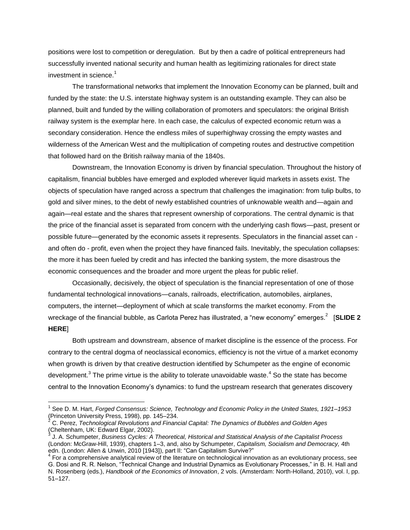positions were lost to competition or deregulation. But by then a cadre of political entrepreneurs had successfully invented national security and human health as legitimizing rationales for direct state investment in science. $<sup>1</sup>$ </sup>

The transformational networks that implement the Innovation Economy can be planned, built and funded by the state: the U.S. interstate highway system is an outstanding example. They can also be planned, built and funded by the willing collaboration of promoters and speculators: the original British railway system is the exemplar here. In each case, the calculus of expected economic return was a secondary consideration. Hence the endless miles of superhighway crossing the empty wastes and wilderness of the American West and the multiplication of competing routes and destructive competition that followed hard on the British railway mania of the 1840s.

Downstream, the Innovation Economy is driven by financial speculation. Throughout the history of capitalism, financial bubbles have emerged and exploded wherever liquid markets in assets exist. The objects of speculation have ranged across a spectrum that challenges the imagination: from tulip bulbs, to gold and silver mines, to the debt of newly established countries of unknowable wealth and—again and again—real estate and the shares that represent ownership of corporations. The central dynamic is that the price of the financial asset is separated from concern with the underlying cash flows—past, present or possible future—generated by the economic assets it represents. Speculators in the financial asset can and often do - profit, even when the project they have financed fails. Inevitably, the speculation collapses: the more it has been fueled by credit and has infected the banking system, the more disastrous the economic consequences and the broader and more urgent the pleas for public relief.

Occasionally, decisively, the object of speculation is the financial representation of one of those fundamental technological innovations—canals, railroads, electrification, automobiles, airplanes, computers, the internet—deployment of which at scale transforms the market economy. From the wreckage of the financial bubble, as Carlota Perez has illustrated, a "new economy" emerges. 2 [**SLIDE 2 HERE**]

Both upstream and downstream, absence of market discipline is the essence of the process. For contrary to the central dogma of neoclassical economics, efficiency is not the virtue of a market economy when growth is driven by that creative destruction identified by Schumpeter as the engine of economic development.<sup>3</sup> The prime virtue is the ability to tolerate unavoidable waste.<sup>4</sup> So the state has become central to the Innovation Economy's dynamics: to fund the upstream research that generates discovery

<sup>&</sup>lt;sup>1</sup> See D. M. Hart, *Forged Consensus: Science, Technology and Economic Policy in the United States, 1921–1953* (Princeton University Press, 1998), pp. 145–234.

<sup>2</sup> C. Perez, *Technological Revolutions and Financial Capital: The Dynamics of Bubbles and Golden Ages* (Cheltenham, UK: Edward Elgar, 2002). 3

J. A. Schumpeter, *Business Cycles: A Theoretical, Historical and Statistical Analysis of the Capitalist Process* (London: McGraw-Hill, 1939), chapters 1–3, and, also by Schumpeter, *Capitalism, Socialism and Democracy,* 4th edn. (London: Allen & Unwin, 2010 [1943]), part II: "Can Capitalism Survive?"

 $4$  For a comprehensive analytical review of the literature on technological innovation as an evolutionary process, see G. Dosi and R. R. Nelson, "Technical Change and Industrial Dynamics as Evolutionary Processes," in B. H. Hall and N. Rosenberg (eds.), *Handbook of the Economics of Innovation*, 2 vols. (Amsterdam: North-Holland, 2010), vol. I, pp. 51–127.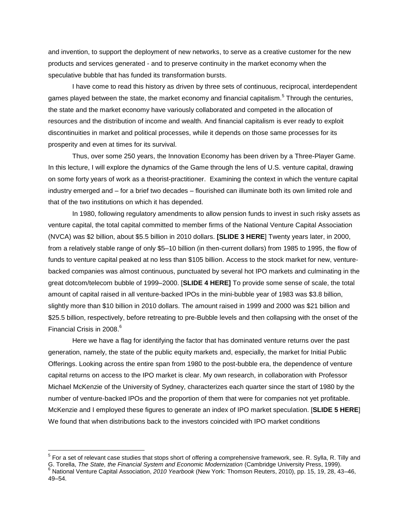and invention, to support the deployment of new networks, to serve as a creative customer for the new products and services generated - and to preserve continuity in the market economy when the speculative bubble that has funded its transformation bursts.

I have come to read this history as driven by three sets of continuous, reciprocal, interdependent games played between the state, the market economy and financial capitalism.<sup>5</sup> Through the centuries, the state and the market economy have variously collaborated and competed in the allocation of resources and the distribution of income and wealth. And financial capitalism is ever ready to exploit discontinuities in market and political processes, while it depends on those same processes for its prosperity and even at times for its survival.

Thus, over some 250 years, the Innovation Economy has been driven by a Three-Player Game. In this lecture, I will explore the dynamics of the Game through the lens of U.S. venture capital, drawing on some forty years of work as a theorist-practitioner. Examining the context in which the venture capital industry emerged and – for a brief two decades – flourished can illuminate both its own limited role and that of the two institutions on which it has depended.

In 1980, following regulatory amendments to allow pension funds to invest in such risky assets as venture capital, the total capital committed to member firms of the National Venture Capital Association (NVCA) was \$2 billion, about \$5.5 billion in 2010 dollars. **[SLIDE 3 HERE**] Twenty years later, in 2000, from a relatively stable range of only \$5–10 billion (in then-current dollars) from 1985 to 1995, the flow of funds to venture capital peaked at no less than \$105 billion. Access to the stock market for new, venturebacked companies was almost continuous, punctuated by several hot IPO markets and culminating in the great dotcom/telecom bubble of 1999–2000. [**SLIDE 4 HERE]** To provide some sense of scale, the total amount of capital raised in all venture-backed IPOs in the mini-bubble year of 1983 was \$3.8 billion, slightly more than \$10 billion in 2010 dollars. The amount raised in 1999 and 2000 was \$21 billion and \$25.5 billion, respectively, before retreating to pre-Bubble levels and then collapsing with the onset of the Financial Crisis in 2008. 6

Here we have a flag for identifying the factor that has dominated venture returns over the past generation, namely, the state of the public equity markets and, especially, the market for Initial Public Offerings. Looking across the entire span from 1980 to the post-bubble era, the dependence of venture capital returns on access to the IPO market is clear. My own research, in collaboration with Professor Michael McKenzie of the University of Sydney, characterizes each quarter since the start of 1980 by the number of venture-backed IPOs and the proportion of them that were for companies not yet profitable. McKenzie and I employed these figures to generate an index of IPO market speculation. [**SLIDE 5 HERE**] We found that when distributions back to the investors coincided with IPO market conditions

 $5$  For a set of relevant case studies that stops short of offering a comprehensive framework, see. R. Sylla, R. Tilly and G. Torella, *The State, the Financial System and Economic Modernization* (Cambridge University Press, 1999).

<sup>6</sup> National Venture Capital Association, *2010 Yearbook* (New York: Thomson Reuters, 2010), pp. 15, 19, 28, 43–46, 49–54.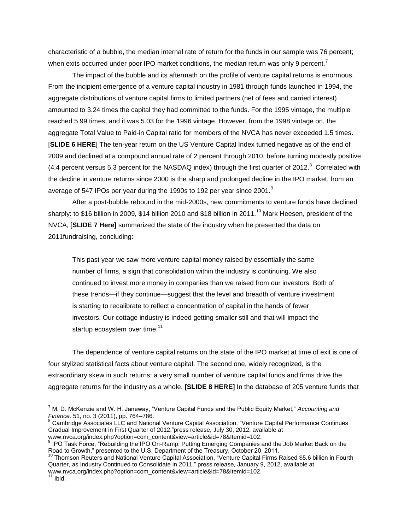characteristic of a bubble, the median internal rate of return for the funds in our sample was 76 percent; when exits occurred under poor IPO market conditions, the median return was only 9 percent.<sup>7</sup>

The impact of the bubble and its aftermath on the profile of venture capital returns is enormous. From the incipient emergence of a venture capital industry in 1981 through funds launched in 1994, the aggregate distributions of venture capital firms to limited partners (net of fees and carried interest) amounted to 3.24 times the capital they had committed to the funds. For the 1995 vintage, the multiple reached 5.99 times, and it was 5.03 for the 1996 vintage. However, from the 1998 vintage on, the aggregate Total Value to Paid-in Capital ratio for members of the NVCA has never exceeded 1.5 times. [**SLIDE 6 HERE**] The ten-year return on the US Venture Capital Index turned negative as of the end of 2009 and declined at a compound annual rate of 2 percent through 2010, before turning modestly positive (4.4 percent versus 5.3 percent for the NASDAQ index) through the first quarter of 2012. $8$  Correlated with the decline in venture returns since 2000 is the sharp and prolonged decline in the IPO market, from an average of 547 IPOs per year during the 1990s to 192 per year since 2001.<sup>9</sup>

After a post-bubble rebound in the mid-2000s, new commitments to venture funds have declined sharply: to \$16 billion in 2009, \$14 billion 2010 and \$18 billion in 2011.<sup>10</sup> Mark Heesen, president of the NVCA, [**SLIDE 7 Here]** summarized the state of the industry when he presented the data on 2011fundraising, concluding:

This past year we saw more venture capital money raised by essentially the same number of firms, a sign that consolidation within the industry is continuing. We also continued to invest more money in companies than we raised from our investors. Both of these trends—if they continue—suggest that the level and breadth of venture investment is starting to recalibrate to reflect a concentration of capital in the hands of fewer investors. Our cottage industry is indeed getting smaller still and that will impact the startup ecosystem over time.<sup>11</sup>

The dependence of venture capital returns on the state of the IPO market at time of exit is one of four stylized statistical facts about venture capital. The second one, widely recognized, is the extraordinary skew in such returns: a very small number of venture capital funds and firms drive the aggregate returns for the industry as a whole. **[SLIDE 8 HERE]** In the database of 205 venture funds that

<sup>8</sup> Cambridge Associates LLC and National Venture Capital Association, "Venture Capital Performance Continues Gradual Improvement in First Quarter of 2012,"press release, July 30, 2012, available at www.nvca.org/index.php?option=com\_content&view=article&id=78&Itemid=102.

<sup>7</sup> M. D. McKenzie and W. H. Janeway, "Venture Capital Funds and the Public Equity Market," *Accounting and Finance,* 51, no. 3 (2011), pp. 764–786.

<sup>&</sup>lt;sup>9</sup> IPO Task Force, "Rebuilding the IPO On-Ramp: Putting Emerging Companies and the Job Market Back on the Road to Growth," presented to the U.S. Department of the Treasury, October 20, 2011.

<sup>10</sup> Thomson Reuters and National Venture Capital Association, "Venture Capital Firms Raised \$5.6 billion in Fourth Quarter, as Industry Continued to Consolidate in 2011," press release*,* January 9, 2012, available at www.nvca.org/index.php?option=com\_content&view=article&id=78&Itemid=102.

 $11$  Ibid.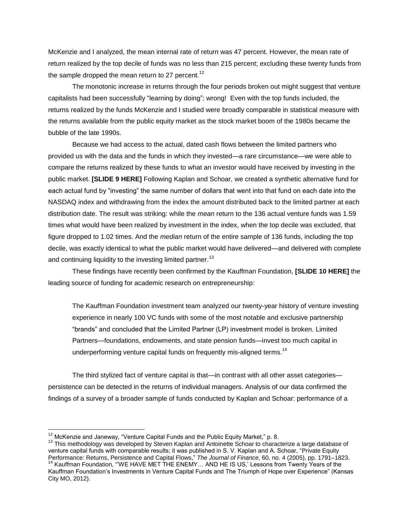McKenzie and I analyzed, the mean internal rate of return was 47 percent. However, the mean rate of return realized by the top decile of funds was no less than 215 percent; excluding these twenty funds from the sample dropped the mean return to 27 percent.<sup>12</sup>

The monotonic increase in returns through the four periods broken out might suggest that venture capitalists had been successfully "learning by doing": wrong! Even with the top funds included, the returns realized by the funds McKenzie and I studied were broadly comparable in statistical measure with the returns available from the public equity market as the stock market boom of the 1980s became the bubble of the late 1990s.

Because we had access to the actual, dated cash flows between the limited partners who provided us with the data and the funds in which they invested—a rare circumstance—we were able to compare the returns realized by these funds to what an investor would have received by investing in the public market. **[SLIDE 9 HERE]** Following Kaplan and Schoar, we created a synthetic alternative fund for each actual fund by "investing" the same number of dollars that went into that fund on each date into the NASDAQ index and withdrawing from the index the amount distributed back to the limited partner at each distribution date. The result was striking: while the *mean* return to the 136 actual venture funds was 1.59 times what would have been realized by investment in the index, when the top decile was excluded, that figure dropped to 1.02 times. And the *median* return of the entire sample of 136 funds, including the top decile, was exactly identical to what the public market would have delivered—and delivered with complete and continuing liquidity to the investing limited partner.<sup>13</sup>

These findings have recently been confirmed by the Kauffman Foundation, **[SLIDE 10 HERE]** the leading source of funding for academic research on entrepreneurship:

The Kauffman Foundation investment team analyzed our twenty-year history of venture investing experience in nearly 100 VC funds with some of the most notable and exclusive partnership "brands" and concluded that the Limited Partner (LP) investment model is broken. Limited Partners—foundations, endowments, and state pension funds—invest too much capital in underperforming venture capital funds on frequently mis-aligned terms.<sup>14</sup>

The third stylized fact of venture capital is that—in contrast with all other asset categories persistence can be detected in the returns of individual managers. Analysis of our data confirmed the findings of a survey of a broader sample of funds conducted by Kaplan and Schoar: performance of a

 $12$  McKenzie and Janeway, "Venture Capital Funds and the Public Equity Market," p. 8.

<sup>&</sup>lt;sup>13</sup> This methodology was developed by Steven Kaplan and Antoinette Schoar to characterize a large database of venture capital funds with comparable results; it was published in S. V. Kaplan and A. Schoar, "Private Equity Performance: Returns, Persistence and Capital Flows," *The Journal of Finance,* 60, no. 4 (2005), pp. 1791–1823.

<sup>14</sup> Kauffman Foundation, "'WE HAVE MET THE ENEMY… AND HE IS US,' Lessons from Twenty Years of the Kauffman Foundation's Investments in Venture Capital Funds and The Triumph of Hope over Experience" (Kansas City MO, 2012).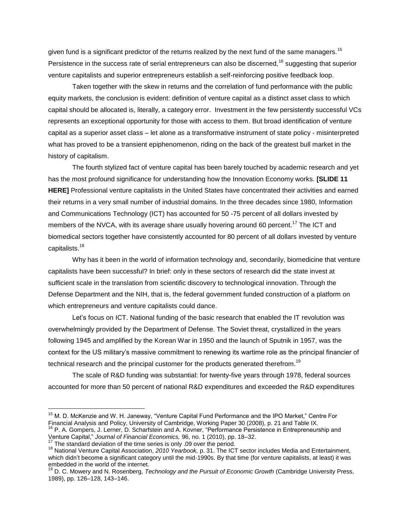given fund is a significant predictor of the returns realized by the next fund of the same managers.<sup>15</sup> Persistence in the success rate of serial entrepreneurs can also be discerned,<sup>16</sup> suggesting that superior venture capitalists and superior entrepreneurs establish a self-reinforcing positive feedback loop.

Taken together with the skew in returns and the correlation of fund performance with the public equity markets, the conclusion is evident: definition of venture capital as a distinct asset class to which capital should be allocated is, literally, a category error. Investment in the few persistently successful VCs represents an exceptional opportunity for those with access to them. But broad identification of venture capital as a superior asset class – let alone as a transformative instrument of state policy - misinterpreted what has proved to be a transient epiphenomenon, riding on the back of the greatest bull market in the history of capitalism.

The fourth stylized fact of venture capital has been barely touched by academic research and yet has the most profound significance for understanding how the Innovation Economy works. **[SLIDE 11 HERE]** Professional venture capitalists in the United States have concentrated their activities and earned their returns in a very small number of industrial domains. In the three decades since 1980, Information and Communications Technology (ICT) has accounted for 50 -75 percent of all dollars invested by members of the NVCA, with its average share usually hovering around 60 percent.<sup>17</sup> The ICT and biomedical sectors together have consistently accounted for 80 percent of all dollars invested by venture capitalists.<sup>18</sup>

Why has it been in the world of information technology and, secondarily, biomedicine that venture capitalists have been successful? In brief: only in these sectors of research did the state invest at sufficient scale in the translation from scientific discovery to technological innovation. Through the Defense Department and the NIH, that is, the federal government funded construction of a platform on which entrepreneurs and venture capitalists could dance.

Let's focus on ICT. National funding of the basic research that enabled the IT revolution was overwhelmingly provided by the Department of Defense. The Soviet threat, crystallized in the years following 1945 and amplified by the Korean War in 1950 and the launch of Sputnik in 1957, was the context for the US military's massive commitment to renewing its wartime role as the principal financier of technical research and the principal customer for the products generated therefrom.<sup>19</sup>

The scale of R&D funding was substantial: for twenty-five years through 1978, federal sources accounted for more than 50 percent of national R&D expenditures and exceeded the R&D expenditures

Venture Capital," *Journal of Financial Economics,* 96, no. 1 (2010), pp. 18–32.

<sup>&</sup>lt;sup>15</sup> M. D. McKenzie and W. H. Janeway, "Venture Capital Fund Performance and the IPO Market," Centre For Financial Analysis and Policy, University of Cambridge, Working Paper 30 (2008), p. 21 and Table IX. <sup>16</sup> P. A. Gompers, J. Lerner, D. Scharfstein and A. Kovner, "Performance Persistence in Entrepreneurship and

The standard deviation of the time series is only .09 over the period.

<sup>18</sup> National Venture Capital Association, *2010 Yearbook,* p. 31. The ICT sector includes Media and Entertainment, which didn't become a significant category until the mid-1990s. By that time (for venture capitalists, at least) it was embedded in the world of the internet.

<sup>19</sup> D. C. Mowery and N. Rosenberg, *Technology and the Pursuit of Economic Growth* (Cambridge University Press, 1989), pp. 126–128, 143–146.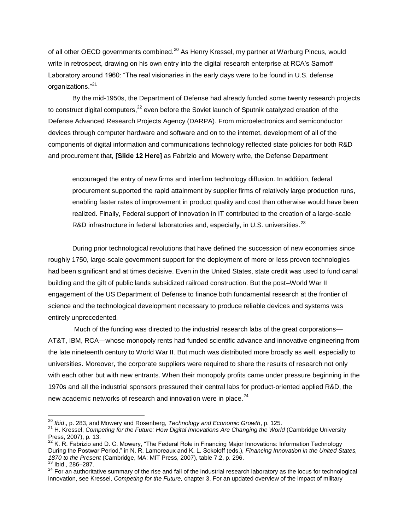of all other OECD governments combined.<sup>20</sup> As Henry Kressel, my partner at Warburg Pincus, would write in retrospect, drawing on his own entry into the digital research enterprise at RCA's Sarnoff Laboratory around 1960: "The real visionaries in the early days were to be found in U.S. defense organizations."<sup>21</sup>

By the mid-1950s, the Department of Defense had already funded some twenty research projects to construct digital computers, $^{22}$  even before the Soviet launch of Sputnik catalyzed creation of the Defense Advanced Research Projects Agency (DARPA). From microelectronics and semiconductor devices through computer hardware and software and on to the internet, development of all of the components of digital information and communications technology reflected state policies for both R&D and procurement that, **[Slide 12 Here]** as Fabrizio and Mowery write, the Defense Department

encouraged the entry of new firms and interfirm technology diffusion. In addition, federal procurement supported the rapid attainment by supplier firms of relatively large production runs, enabling faster rates of improvement in product quality and cost than otherwise would have been realized. Finally, Federal support of innovation in IT contributed to the creation of a large-scale R&D infrastructure in federal laboratories and, especially, in U.S. universities. $^{23}$ 

During prior technological revolutions that have defined the succession of new economies since roughly 1750, large-scale government support for the deployment of more or less proven technologies had been significant and at times decisive. Even in the United States, state credit was used to fund canal building and the gift of public lands subsidized railroad construction. But the post–World War II engagement of the US Department of Defense to finance both fundamental research at the frontier of science and the technological development necessary to produce reliable devices and systems was entirely unprecedented.

Much of the funding was directed to the industrial research labs of the great corporations— AT&T, IBM, RCA—whose monopoly rents had funded scientific advance and innovative engineering from the late nineteenth century to World War II. But much was distributed more broadly as well, especially to universities. Moreover, the corporate suppliers were required to share the results of research not only with each other but with new entrants. When their monopoly profits came under pressure beginning in the 1970s and all the industrial sponsors pressured their central labs for product-oriented applied R&D, the new academic networks of research and innovation were in place.<sup>24</sup>

<sup>20</sup> *Ibid*., p. 283, and Mowery and Rosenberg, *Technology and Economic Growth*, p. 125.

<sup>&</sup>lt;sup>21</sup> H. Kressel, *Competing for the Future: How Digital Innovations Are Changing the World* (Cambridge University Press, 2007), p. 13.

 $^{22}$  K. R. Fabrizio and D. C. Mowery, "The Federal Role in Financing Major Innovations: Information Technology During the Postwar Period," in N. R. Lamoreaux and K. L. Sokoloff (eds.), *Financing Innovation in the United States, 1870 to the Present* (Cambridge, MA: MIT Press, 2007), table 7.2, p. 296.

 $23$  Ibid., 286-287.

<sup>24</sup> For an authoritative summary of the rise and fall of the industrial research laboratory as the locus for technological innovation, see Kressel, *Competing for the Future,* chapter 3. For an updated overview of the impact of military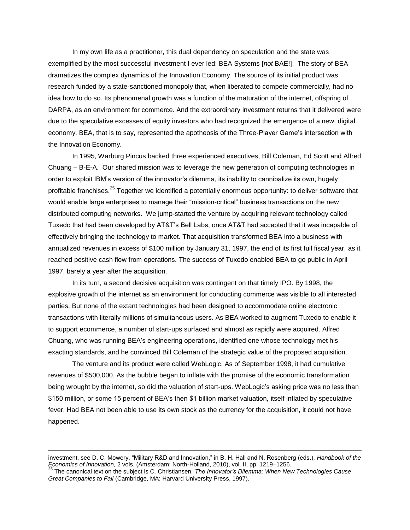In my own life as a practitioner, this dual dependency on speculation and the state was exemplified by the most successful investment I ever led: BEA Systems [*not* BAE!]. The story of BEA dramatizes the complex dynamics of the Innovation Economy. The source of its initial product was research funded by a state-sanctioned monopoly that, when liberated to compete commercially, had no idea how to do so. Its phenomenal growth was a function of the maturation of the internet, offspring of DARPA, as an environment for commerce. And the extraordinary investment returns that it delivered were due to the speculative excesses of equity investors who had recognized the emergence of a new, digital economy. BEA, that is to say, represented the apotheosis of the Three-Player Game's intersection with the Innovation Economy.

In 1995, Warburg Pincus backed three experienced executives, Bill Coleman, Ed Scott and Alfred Chuang – B-E-A. Our shared mission was to leverage the new generation of computing technologies in order to exploit IBM's version of the innovator's dilemma, its inability to cannibalize its own, hugely profitable franchises.<sup>25</sup> Together we identified a potentially enormous opportunity: to deliver software that would enable large enterprises to manage their "mission-critical" business transactions on the new distributed computing networks. We jump-started the venture by acquiring relevant technology called Tuxedo that had been developed by AT&T's Bell Labs, once AT&T had accepted that it was incapable of effectively bringing the technology to market. That acquisition transformed BEA into a business with annualized revenues in excess of \$100 million by January 31, 1997, the end of its first full fiscal year, as it reached positive cash flow from operations. The success of Tuxedo enabled BEA to go public in April 1997, barely a year after the acquisition.

In its turn, a second decisive acquisition was contingent on that timely IPO. By 1998, the explosive growth of the internet as an environment for conducting commerce was visible to all interested parties. But none of the extant technologies had been designed to accommodate online electronic transactions with literally millions of simultaneous users. As BEA worked to augment Tuxedo to enable it to support ecommerce, a number of start-ups surfaced and almost as rapidly were acquired. Alfred Chuang, who was running BEA's engineering operations, identified one whose technology met his exacting standards, and he convinced Bill Coleman of the strategic value of the proposed acquisition.

The venture and its product were called WebLogic. As of September 1998, it had cumulative revenues of \$500,000. As the bubble began to inflate with the promise of the economic transformation being wrought by the internet, so did the valuation of start-ups. WebLogic's asking price was no less than \$150 million, or some 15 percent of BEA's then \$1 billion market valuation, itself inflated by speculative fever. Had BEA not been able to use its own stock as the currency for the acquisition, it could not have happened.

investment, see D. C. Mowery, "Military R&D and Innovation," in B. H. Hall and N. Rosenberg (eds.), *Handbook of the Economics of Innovation,* 2 vols. (Amsterdam: North-Holland, 2010), vol. II, pp. 1219–1256.

<sup>25</sup> The canonical text on the subject is C. Christiansen, *The Innovator's Dilemma: When New Technologies Cause Great Companies to Fail* (Cambridge, MA: Harvard University Press, 1997).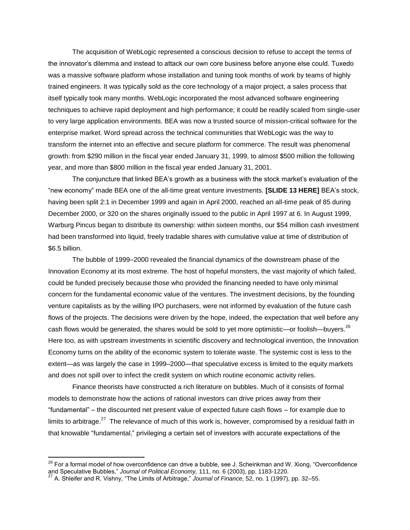The acquisition of WebLogic represented a conscious decision to refuse to accept the terms of the innovator's dilemma and instead to attack our own core business before anyone else could. Tuxedo was a massive software platform whose installation and tuning took months of work by teams of highly trained engineers. It was typically sold as the core technology of a major project, a sales process that itself typically took many months. WebLogic incorporated the most advanced software engineering techniques to achieve rapid deployment and high performance; it could be readily scaled from single-user to very large application environments. BEA was now a trusted source of mission-critical software for the enterprise market. Word spread across the technical communities that WebLogic was the way to transform the internet into an effective and secure platform for commerce. The result was phenomenal growth: from \$290 million in the fiscal year ended January 31, 1999, to almost \$500 million the following year, and more than \$800 million in the fiscal year ended January 31, 2001.

The conjuncture that linked BEA's growth as a business with the stock market's evaluation of the "new economy" made BEA one of the all-time great venture investments. **[SLIDE 13 HERE]** BEA's stock, having been split 2:1 in December 1999 and again in April 2000, reached an all-time peak of 85 during December 2000, or 320 on the shares originally issued to the public in April 1997 at 6. In August 1999, Warburg Pincus began to distribute its ownership: within sixteen months, our \$54 million cash investment had been transformed into liquid, freely tradable shares with cumulative value at time of distribution of \$6.5 billion.

The bubble of 1999–2000 revealed the financial dynamics of the downstream phase of the Innovation Economy at its most extreme. The host of hopeful monsters, the vast majority of which failed, could be funded precisely because those who provided the financing needed to have only minimal concern for the fundamental economic value of the ventures. The investment decisions, by the founding venture capitalists as by the willing IPO purchasers, were not informed by evaluation of the future cash flows of the projects. The decisions were driven by the hope, indeed, the expectation that well before any cash flows would be generated, the shares would be sold to yet more optimistic—or foolish—buyers.<sup>26</sup> Here too, as with upstream investments in scientific discovery and technological invention, the Innovation Economy turns on the ability of the economic system to tolerate waste. The systemic cost is less to the extent—as was largely the case in 1999–2000—that speculative excess is limited to the equity markets and does not spill over to infect the credit system on which routine economic activity relies.

Finance theorists have constructed a rich literature on bubbles. Much of it consists of formal models to demonstrate how the actions of rational investors can drive prices away from their "fundamental" – the discounted net present value of expected future cash flows – for example due to limits to arbitrage.<sup>27</sup> The relevance of much of this work is, however, compromised by a residual faith in that knowable "fundamental," privileging a certain set of investors with accurate expectations of the

 $^{26}$  For a formal model of how overconfidence can drive a bubble, see J. Scheinkman and W. Xiong, "Overconfidence and Speculative Bubbles," *Journal of Political Economy,* 111, no. 6 (2003), pp. 1183-1220.

<sup>27</sup> A. Shleifer and R. Vishny, "The Limits of Arbitrage," *Journal of Finance,* 52, no. 1 (1997), pp. 32–55.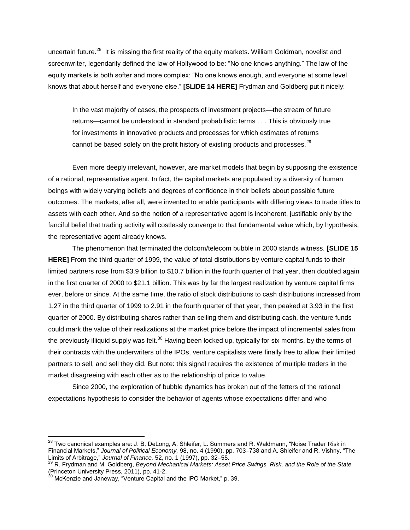uncertain future.<sup>28</sup> It is missing the first reality of the equity markets. William Goldman, novelist and screenwriter, legendarily defined the law of Hollywood to be: "No one knows anything." The law of the equity markets is both softer and more complex: "No one knows enough, and everyone at some level knows that about herself and everyone else." **[SLIDE 14 HERE]** Frydman and Goldberg put it nicely:

In the vast majority of cases, the prospects of investment projects—the stream of future returns—cannot be understood in standard probabilistic terms . . . This is obviously true for investments in innovative products and processes for which estimates of returns cannot be based solely on the profit history of existing products and processes. $^{29}$ 

Even more deeply irrelevant, however, are market models that begin by supposing the existence of a rational, representative agent. In fact, the capital markets are populated by a diversity of human beings with widely varying beliefs and degrees of confidence in their beliefs about possible future outcomes. The markets, after all, were invented to enable participants with differing views to trade titles to assets with each other. And so the notion of a representative agent is incoherent, justifiable only by the fanciful belief that trading activity will costlessly converge to that fundamental value which, by hypothesis, the representative agent already knows.

The phenomenon that terminated the dotcom/telecom bubble in 2000 stands witness. **[SLIDE 15 HERE]** From the third quarter of 1999, the value of total distributions by venture capital funds to their limited partners rose from \$3.9 billion to \$10.7 billion in the fourth quarter of that year, then doubled again in the first quarter of 2000 to \$21.1 billion. This was by far the largest realization by venture capital firms ever, before or since. At the same time, the ratio of stock distributions to cash distributions increased from 1.27 in the third quarter of 1999 to 2.91 in the fourth quarter of that year, then peaked at 3.93 in the first quarter of 2000. By distributing shares rather than selling them and distributing cash, the venture funds could mark the value of their realizations at the market price before the impact of incremental sales from the previously illiquid supply was felt.<sup>30</sup> Having been locked up, typically for six months, by the terms of their contracts with the underwriters of the IPOs, venture capitalists were finally free to allow their limited partners to sell, and sell they did. But note: this signal requires the existence of multiple traders in the market disagreeing with each other as to the relationship of price to value.

Since 2000, the exploration of bubble dynamics has broken out of the fetters of the rational expectations hypothesis to consider the behavior of agents whose expectations differ and who

 $^{28}$  Two canonical examples are: J. B. DeLong, A. Shleifer, L. Summers and R. Waldmann, "Noise Trader Risk in Financial Markets," *Journal of Political Economy,* 98, no. 4 (1990), pp. 703–738 and A. Shleifer and R. Vishny, "The Limits of Arbitrage," *Journal of Finance,* 52, no. 1 (1997), pp. 32–55.

<sup>29</sup> R. Frydman and M. Goldberg, *Beyond Mechanical Markets: Asset Price Swings, Risk, and the Role of the State*  (Princeton University Press, 2011), pp. 41-2.

 $30$  McKenzie and Janeway, "Venture Capital and the IPO Market," p. 39.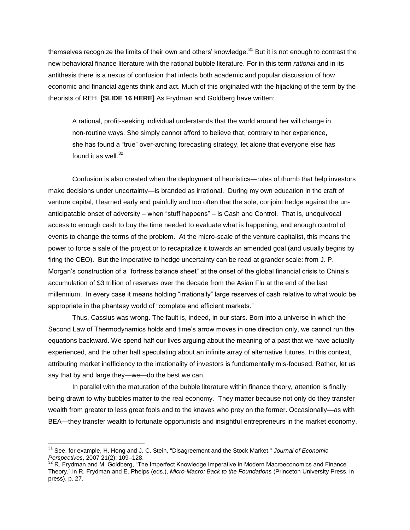themselves recognize the limits of their own and others' knowledge. $31$  But it is not enough to contrast the new behavioral finance literature with the rational bubble literature. For in this term *rational* and in its antithesis there is a nexus of confusion that infects both academic and popular discussion of how economic and financial agents think and act. Much of this originated with the hijacking of the term by the theorists of REH. **[SLIDE 16 HERE]** As Frydman and Goldberg have written:

A rational, profit-seeking individual understands that the world around her will change in non-routine ways. She simply cannot afford to believe that, contrary to her experience, she has found a "true" over-arching forecasting strategy, let alone that everyone else has found it as well. $32$ 

Confusion is also created when the deployment of heuristics—rules of thumb that help investors make decisions under uncertainty—is branded as irrational. During my own education in the craft of venture capital, I learned early and painfully and too often that the sole, conjoint hedge against the unanticipatable onset of adversity – when "stuff happens" – is Cash and Control. That is, unequivocal access to enough cash to buy the time needed to evaluate what is happening, and enough control of events to change the terms of the problem. At the micro-scale of the venture capitalist, this means the power to force a sale of the project or to recapitalize it towards an amended goal (and usually begins by firing the CEO). But the imperative to hedge uncertainty can be read at grander scale: from J. P. Morgan's construction of a "fortress balance sheet" at the onset of the global financial crisis to China's accumulation of \$3 trillion of reserves over the decade from the Asian Flu at the end of the last millennium. In every case it means holding "irrationally" large reserves of cash relative to what would be appropriate in the phantasy world of "complete and efficient markets."

Thus, Cassius was wrong. The fault is, indeed, in our stars. Born into a universe in which the Second Law of Thermodynamics holds and time's arrow moves in one direction only, we cannot run the equations backward. We spend half our lives arguing about the meaning of a past that we have actually experienced, and the other half speculating about an infinite array of alternative futures. In this context, attributing market inefficiency to the irrationality of investors is fundamentally mis-focused. Rather, let us say that by and large they—we—do the best we can.

In parallel with the maturation of the bubble literature within finance theory, attention is finally being drawn to why bubbles matter to the real economy. They matter because not only do they transfer wealth from greater to less great fools and to the knaves who prey on the former. Occasionally—as with BEA—they transfer wealth to fortunate opportunists and insightful entrepreneurs in the market economy,

 $\overline{\phantom{a}}$ 

<sup>31</sup> See, for example, H. Hong and J. C. Stein, "Disagreement and the Stock Market." *Journal of Economic Perspectives*, 2007 21(2): 109–128.

<sup>32</sup> R. Frydman and M. Goldberg, "The Imperfect Knowledge Imperative in Modern Macroeconomics and Finance Theory," in R. Frydman and E. Phelps (eds.), *Micro-Macro: Back to the Foundations* (Princeton University Press, in press), p. 27.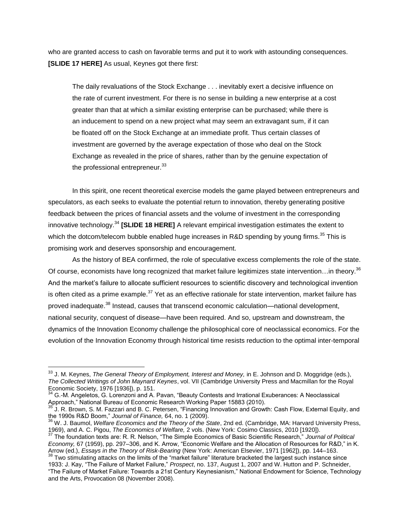who are granted access to cash on favorable terms and put it to work with astounding consequences. **[SLIDE 17 HERE]** As usual, Keynes got there first:

The daily revaluations of the Stock Exchange . . . inevitably exert a decisive influence on the rate of current investment. For there is no sense in building a new enterprise at a cost greater than that at which a similar existing enterprise can be purchased; while there is an inducement to spend on a new project what may seem an extravagant sum, if it can be floated off on the Stock Exchange at an immediate profit. Thus certain classes of investment are governed by the average expectation of those who deal on the Stock Exchange as revealed in the price of shares, rather than by the genuine expectation of the professional entrepreneur.<sup>33</sup>

In this spirit, one recent theoretical exercise models the game played between entrepreneurs and speculators, as each seeks to evaluate the potential return to innovation, thereby generating positive feedback between the prices of financial assets and the volume of investment in the corresponding innovative technology.<sup>34</sup> **[SLIDE 18 HERE]** A relevant empirical investigation estimates the extent to which the dotcom/telecom bubble enabled huge increases in R&D spending by young firms.<sup>35</sup> This is promising work and deserves sponsorship and encouragement.

As the history of BEA confirmed, the role of speculative excess complements the role of the state. Of course, economists have long recognized that market failure legitimizes state intervention...in theory.<sup>36</sup> And the market's failure to allocate sufficient resources to scientific discovery and technological invention is often cited as a prime example.<sup>37</sup> Yet as an effective rationale for state intervention, market failure has proved inadequate.<sup>38</sup> Instead, causes that transcend economic calculation—national development, national security, conquest of disease—have been required. And so, upstream and downstream, the dynamics of the Innovation Economy challenge the philosophical core of neoclassical economics. For the evolution of the Innovation Economy through historical time resists reduction to the optimal inter-temporal

<sup>33</sup> J. M. Keynes, *The General Theory of Employment, Interest and Money,* in E. Johnson and D. Moggridge (eds.), *The Collected Writings of John Maynard Keynes*, vol. VII (Cambridge University Press and Macmillan for the Royal Economic Society, 1976 [1936]), p. 151.

<sup>&</sup>lt;sup>34</sup> G.-M. Angeletos, G. Lorenzoni and A. Pavan, "Beauty Contests and Irrational Exuberances: A Neoclassical Approach," National Bureau of Economic Research Working Paper 15883 (2010).

<sup>35</sup> J. R. Brown, S. M. Fazzari and B. C. Petersen, "Financing Innovation and Growth: Cash Flow, External Equity, and the 1990s R&D Boom," *Journal of Finance,* 64, no. 1 (2009).

<sup>36</sup> W. J. Baumol, *Welfare Economics and the Theory of the State*, 2nd ed. (Cambridge, MA: Harvard University Press, 1969), and A. C. Pigou, *The Economics of Welfare,* 2 vols. (New York: Cosimo Classics, 2010 [1920]).

<sup>37</sup> The foundation texts are: R. R. Nelson, "The Simple Economics of Basic Scientific Research," *Journal of Political Economy,* 67 (1959), pp. 297–306, and K. Arrow, "Economic Welfare and the Allocation of Resources for R&D," in K. Arrow (ed.), *Essays in the Theory of Risk-Bearing* (New York: American Elsevier, 1971 [1962]), pp. 144–163.  $38$  Two stimulating attacks on the limits of the "market failure" literature bracketed the largest such instance since

<sup>1933:</sup> J. Kay, "The Failure of Market Failure," *Prospect*, no. 137, August 1, 2007 and W. Hutton and P. Schneider, "The Failure of Market Failure: Towards a 21st Century Keynesianism," National Endowment for Science, Technology and the Arts, Provocation 08 (November 2008).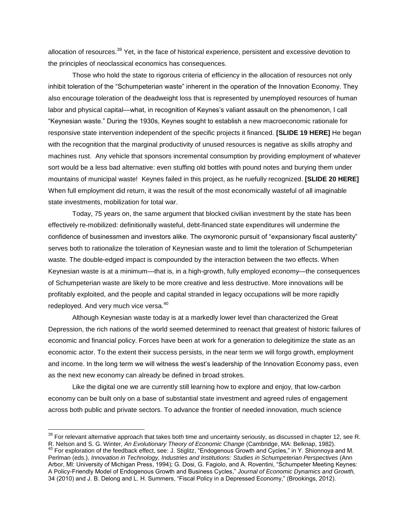allocation of resources.<sup>39</sup> Yet, in the face of historical experience, persistent and excessive devotion to the principles of neoclassical economics has consequences.

Those who hold the state to rigorous criteria of efficiency in the allocation of resources not only inhibit toleration of the "Schumpeterian waste" inherent in the operation of the Innovation Economy. They also encourage toleration of the deadweight loss that is represented by unemployed resources of human labor and physical capital—what, in recognition of Keynes's valiant assault on the phenomenon, I call "Keynesian waste." During the 1930s, Keynes sought to establish a new macroeconomic rationale for responsive state intervention independent of the specific projects it financed. **[SLIDE 19 HERE]** He began with the recognition that the marginal productivity of unused resources is negative as skills atrophy and machines rust. Any vehicle that sponsors incremental consumption by providing employment of whatever sort would be a less bad alternative: even stuffing old bottles with pound notes and burying them under mountains of municipal waste! Keynes failed in this project, as he ruefully recognized. **[SLIDE 20 HERE]**  When full employment did return, it was the result of the most economically wasteful of all imaginable state investments, mobilization for total war.

Today, 75 years on, the same argument that blocked civilian investment by the state has been effectively re-mobilized: definitionally wasteful, debt-financed state expenditures will undermine the confidence of businessmen and investors alike. The oxymoronic pursuit of "expansionary fiscal austerity" serves both to rationalize the toleration of Keynesian waste and to limit the toleration of Schumpeterian waste. The double-edged impact is compounded by the interaction between the two effects. When Keynesian waste is at a minimum—that is, in a high-growth, fully employed economy—the consequences of Schumpeterian waste are likely to be more creative and less destructive. More innovations will be profitably exploited, and the people and capital stranded in legacy occupations will be more rapidly redeployed. And very much vice versa.<sup>40</sup>

Although Keynesian waste today is at a markedly lower level than characterized the Great Depression, the rich nations of the world seemed determined to reenact that greatest of historic failures of economic and financial policy. Forces have been at work for a generation to delegitimize the state as an economic actor. To the extent their success persists, in the near term we will forgo growth, employment and income. In the long term we will witness the west's leadership of the Innovation Economy pass, even as the next new economy can already be defined in broad strokes.

Like the digital one we are currently still learning how to explore and enjoy, that low-carbon economy can be built only on a base of substantial state investment and agreed rules of engagement across both public and private sectors. To advance the frontier of needed innovation, much science

 $39$  For relevant alternative approach that takes both time and uncertainty seriously, as discussed in chapter 12, see R.

R. Nelson and S. G. Winter, *An Evolutionary Theory of Economic Change* (Cambridge, MA: Belknap, 1982). <sup>40</sup> For exploration of the feedback effect, see: J. Stiglitz, "Endogenous Growth and Cycles," in Y. Shionnoya and M. Perlman (eds.), *Innovation in Technology, Industries and Institutions: Studies in Schumpeterian Perspectives* (Ann Arbor, MI: University of Michigan Press, 1994); G. Dosi, G. Fagiolo, and A. Roventini, "Schumpeter Meeting Keynes: A Policy-Friendly Model of Endogenous Growth and Business Cycles," *Journal of Economic Dynamics and Growth,* 34 (2010) and J. B. Delong and L. H. Summers, "Fiscal Policy in a Depressed Economy," (Brookings, 2012).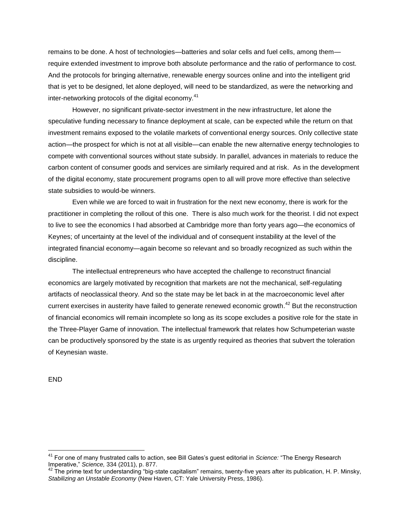remains to be done. A host of technologies—batteries and solar cells and fuel cells, among them require extended investment to improve both absolute performance and the ratio of performance to cost. And the protocols for bringing alternative, renewable energy sources online and into the intelligent grid that is yet to be designed, let alone deployed, will need to be standardized, as were the networking and inter-networking protocols of the digital economy.<sup>41</sup>

However, no significant private-sector investment in the new infrastructure, let alone the speculative funding necessary to finance deployment at scale, can be expected while the return on that investment remains exposed to the volatile markets of conventional energy sources. Only collective state action—the prospect for which is not at all visible—can enable the new alternative energy technologies to compete with conventional sources without state subsidy. In parallel, advances in materials to reduce the carbon content of consumer goods and services are similarly required and at risk. As in the development of the digital economy, state procurement programs open to all will prove more effective than selective state subsidies to would-be winners.

Even while we are forced to wait in frustration for the next new economy, there is work for the practitioner in completing the rollout of this one. There is also much work for the theorist. I did not expect to live to see the economics I had absorbed at Cambridge more than forty years ago—the economics of Keynes; of uncertainty at the level of the individual and of consequent instability at the level of the integrated financial economy—again become so relevant and so broadly recognized as such within the discipline.

The intellectual entrepreneurs who have accepted the challenge to reconstruct financial economics are largely motivated by recognition that markets are not the mechanical, self-regulating artifacts of neoclassical theory. And so the state may be let back in at the macroeconomic level after current exercises in austerity have failed to generate renewed economic growth.<sup>42</sup> But the reconstruction of financial economics will remain incomplete so long as its scope excludes a positive role for the state in the Three-Player Game of innovation. The intellectual framework that relates how Schumpeterian waste can be productively sponsored by the state is as urgently required as theories that subvert the toleration of Keynesian waste.

END

<sup>41</sup> For one of many frustrated calls to action, see Bill Gates's guest editorial in *Science:* "The Energy Research Imperative," *Science,* 334 (2011), p. 877.

 $42$  The prime text for understanding "big-state capitalism" remains, twenty-five years after its publication, H. P. Minsky, *Stabilizing an Unstable Economy* (New Haven, CT: Yale University Press, 1986).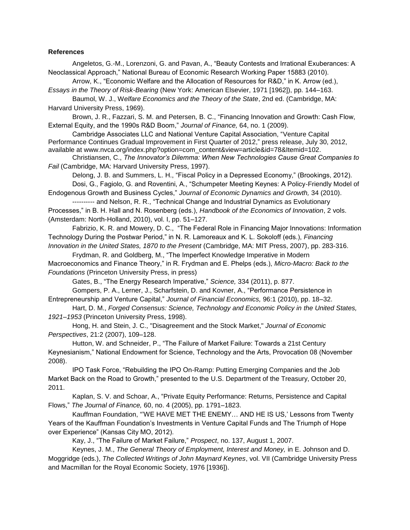## **References**

Angeletos, G.-M., Lorenzoni, G. and Pavan, A., "Beauty Contests and Irrational Exuberances: A Neoclassical Approach," National Bureau of Economic Research Working Paper 15883 (2010).

Arrow, K., "Economic Welfare and the Allocation of Resources for R&D," in K. Arrow (ed.), *Essays in the Theory of Risk-Bearing* (New York: American Elsevier, 1971 [1962]), pp. 144–163.

Baumol, W. J., W*elfare Economics and the Theory of the State*, 2nd ed. (Cambridge, MA: Harvard University Press, 1969).

Brown, J. R., Fazzari, S. M. and Petersen, B. C., "Financing Innovation and Growth: Cash Flow, External Equity, and the 1990s R&D Boom," *Journal of Finance,* 64, no. 1 (2009).

Cambridge Associates LLC and National Venture Capital Association, "Venture Capital Performance Continues Gradual Improvement in First Quarter of 2012," press release, July 30, 2012, available at www.nvca.org/index.php?option=com\_content&view=article&id=78&Itemid=102.

Christiansen, C., *The Innovator's Dilemma: When New Technologies Cause Great Companies to Fail* (Cambridge, MA: Harvard University Press, 1997).

Delong, J. B. and Summers, L. H., "Fiscal Policy in a Depressed Economy," (Brookings, 2012). Dosi, G., Fagiolo, G. and Roventini, A., "Schumpeter Meeting Keynes: A Policy-Friendly Model of Endogenous Growth and Business Cycles," *Journal of Economic Dynamics and Growth,* 34 (2010).

---------- and Nelson, R. R., "Technical Change and Industrial Dynamics as Evolutionary Processes," in B. H. Hall and N. Rosenberg (eds.), *Handbook of the Economics of Innovation*, 2 vols. (Amsterdam: North-Holland, 2010), vol. I, pp. 51–127.

Fabrizio, K. R. and Mowery, D. C., "The Federal Role in Financing Major Innovations: Information Technology During the Postwar Period," in N. R. Lamoreaux and K. L. Sokoloff (eds.), *Financing Innovation in the United States, 1870 to the Present* (Cambridge, MA: MIT Press, 2007), pp. 283-316.

Frydman, R. and Goldberg, M., "The Imperfect Knowledge Imperative in Modern Macroeconomics and Finance Theory," in R. Frydman and E. Phelps (eds.), *Micro-Macro: Back to the Foundations* (Princeton University Press, in press)

Gates, B., "The Energy Research Imperative," *Science,* 334 (2011), p. 877.

Gompers, P. A., Lerner, J., Scharfstein, D. and Kovner, A., "Performance Persistence in Entrepreneurship and Venture Capital," *Journal of Financial Economics,* 96:1 (2010), pp. 18–32.

Hart, D. M., *Forged Consensus: Science, Technology and Economic Policy in the United States, 1921–1953* (Princeton University Press, 1998).

Hong, H. and Stein, J. C., "Disagreement and the Stock Market," *Journal of Economic Perspectives*, 21:2 (2007), 109–128.

Hutton, W. and Schneider, P., "The Failure of Market Failure: Towards a 21st Century Keynesianism," National Endowment for Science, Technology and the Arts, Provocation 08 (November 2008).

IPO Task Force, "Rebuilding the IPO On-Ramp: Putting Emerging Companies and the Job Market Back on the Road to Growth," presented to the U.S. Department of the Treasury, October 20, 2011.

Kaplan, S. V. and Schoar, A., "Private Equity Performance: Returns, Persistence and Capital Flows," *The Journal of Finance,* 60, no. 4 (2005), pp. 1791–1823.

Kauffman Foundation, "'WE HAVE MET THE ENEMY… AND HE IS US,' Lessons from Twenty Years of the Kauffman Foundation's Investments in Venture Capital Funds and The Triumph of Hope over Experience" (Kansas City MO, 2012).

Kay, J., "The Failure of Market Failure," *Prospect*, no. 137, August 1, 2007.

Keynes, J. M., *The General Theory of Employment, Interest and Money,* in E. Johnson and D. Moggridge (eds.), *The Collected Writings of John Maynard Keynes*, vol. VII (Cambridge University Press and Macmillan for the Royal Economic Society, 1976 [1936]).